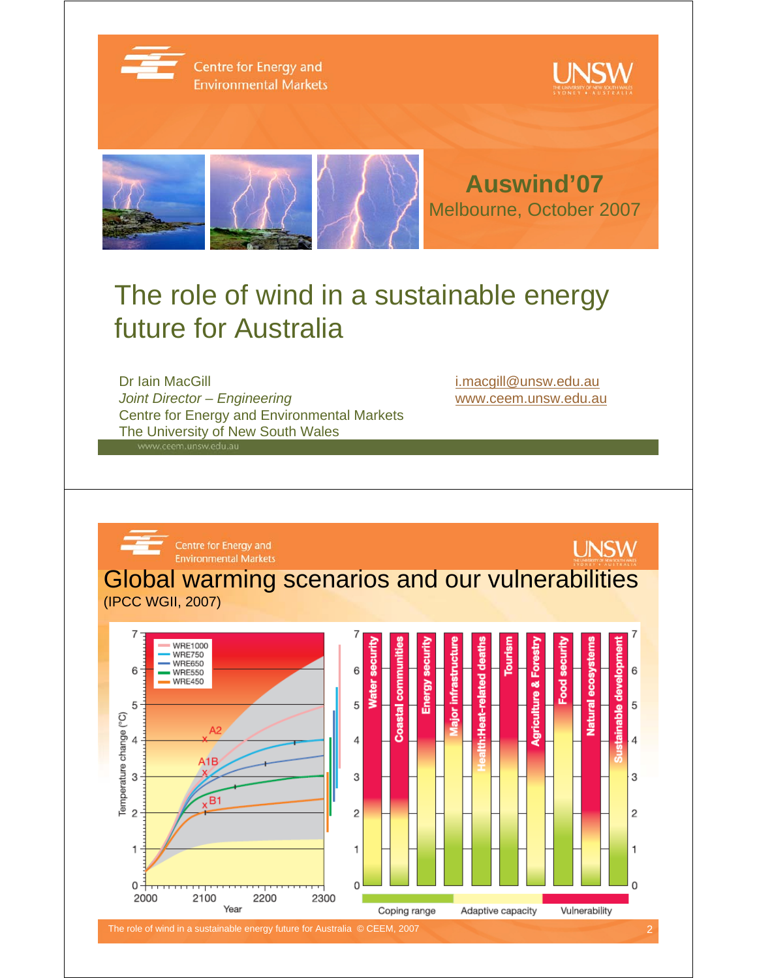

Centre for Energy and **Environmental Markets** 





## The role of wind in a sustainable energy future for Australia

Dr Iain MacGill in the contract of the contract of the intervention of the intervention of the intervention of the intervention of the intervention of the intervention of the intervention of the intervention of the interve *Joint Director – Engineering* www.ceem.unsw.edu.au Centre for Energy and Environmental Markets The University of New South Wales

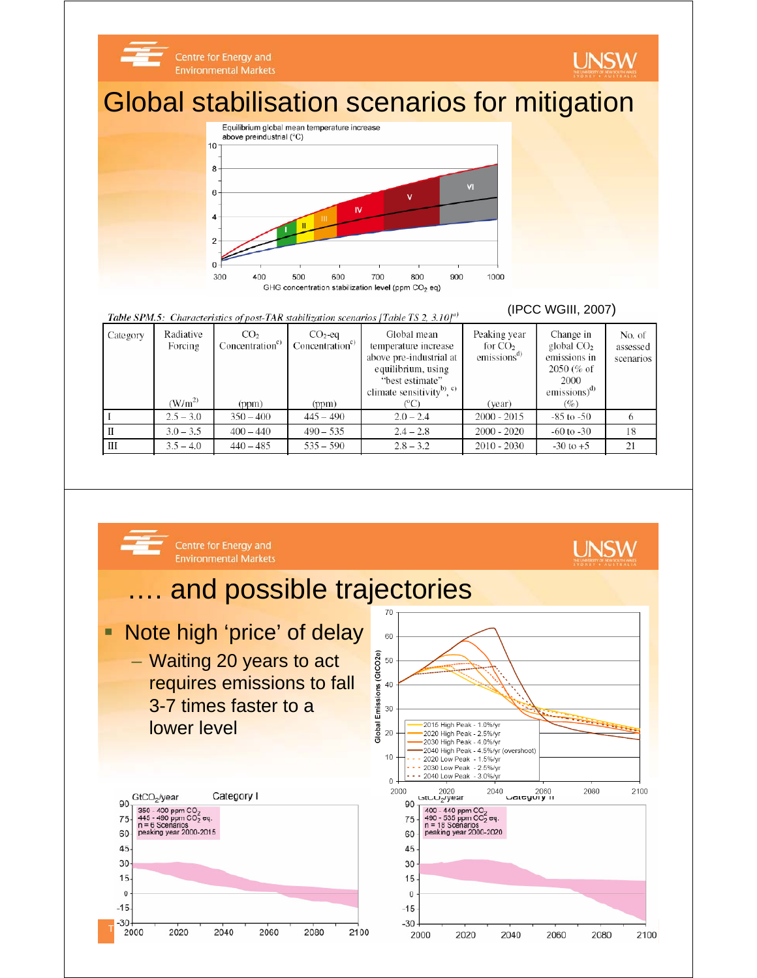

#### Table SPM.5: Characteristics of post-TAR stabilization scenarios [Table TS 2, 3.10]<sup>a)</sup>

| Category | Radiative<br>Forcing | CO <sub>2</sub><br>Concentration <sup>c</sup> | $CO2$ -eq<br>Concentration <sup>c)</sup> | Global mean<br>temperature increase<br>above pre-industrial at<br>equilibrium, using<br>"best estimate" | Peaking year<br>for $CO2$<br>emissions <sup>a</sup> | Change in<br>global $CO2$<br>emissions in<br>$2050\,(% of$<br>2000 | No. of<br>assessed<br>scenarios |
|----------|----------------------|-----------------------------------------------|------------------------------------------|---------------------------------------------------------------------------------------------------------|-----------------------------------------------------|--------------------------------------------------------------------|---------------------------------|
|          | $(W/m^2)$            | (ppm)                                         | (ppm)                                    | climate sensitivity <sup>b)</sup> , $\circ$                                                             | (year)                                              | $emissions)^{d)}$<br>(%)                                           |                                 |
|          | $2.5 - 3.0$          | $350 - 400$                                   | $445 - 490$                              | $2.0 - 2.4$                                                                                             | $2000 - 2015$                                       | $-85$ to $-50$                                                     |                                 |
|          | $3.0 - 3.5$          | $400 - 440$                                   | $490 - 535$                              | $2.4 - 2.8$                                                                                             | $2000 - 2020$                                       | $-60$ to $-30$                                                     | 18                              |
| Ш        | $3.5 - 4.0$          | $440 - 485$                                   | $535 - 590$                              | $2.8 - 3.2$                                                                                             | $2010 - 2030$                                       | $-30$ to $+5$                                                      | 21                              |

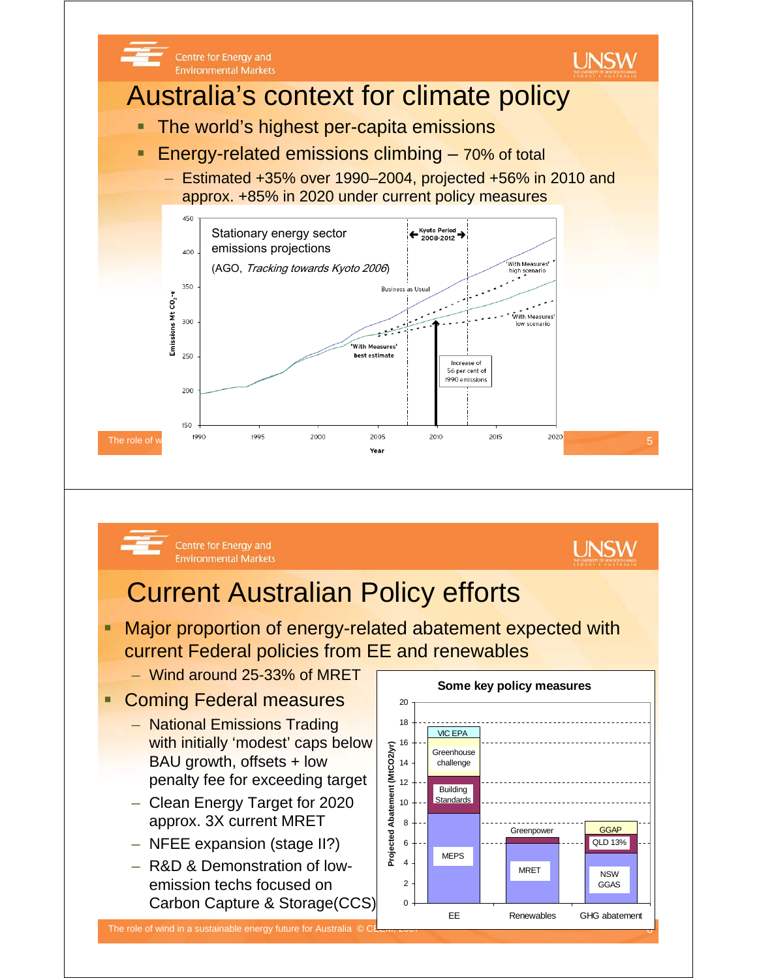



Centre for Energy and **Environmental Markets** 

# Current Australian Policy efforts

- Major proportion of energy-related abatement expected with current Federal policies from EE and renewables
	- Wind around 25-33% of MRET
- Coming Federal measures
	- National Emissions Trading with initially 'modest' caps below BAU growth, offsets + low penalty fee for exceeding target
	- Clean Energy Target for 2020 approx. 3X current MRET
	- NFEE expansion (stage II?)
	- R&D & Demonstration of lowemission techs focused on Carbon Capture & Storage(CCS)

**Some key policy measures**  $\Omega$ 2 4 6 8 10 12 14 16 18 20 EE Renewables GHG abatement **Projected Abatement (MtCO2/yr)** MEPS **Building Standards** Greenhouse challenge **Greenpower** MRET NSW GGAS VIC EPA QLD 13% **GGAF** 

**UNSW**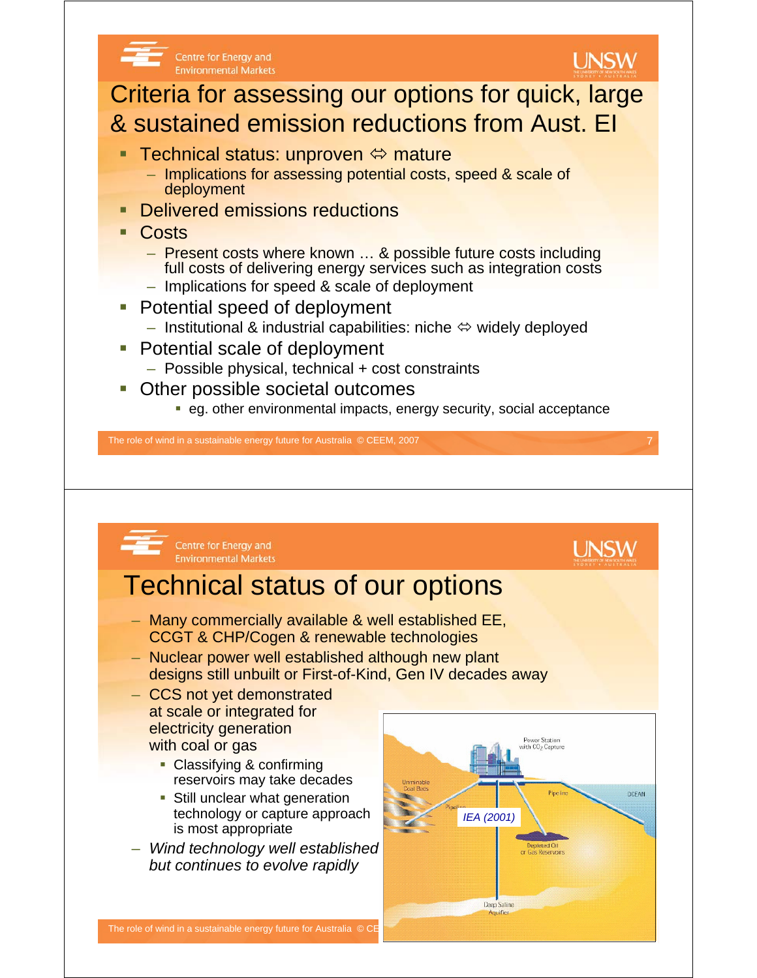



- Many commercially available & well established EE, CCGT & CHP/Cogen & renewable technologies
- Nuclear power well established although new plant designs still unbuilt or First-of-Kind, Gen IV decades away
- CCS not yet demonstrated at scale or integrated for electricity generation with coal or gas

**Environmental Markets** 

- Classifying & confirming reservoirs may take decades
- **Still unclear what generation** technology or capture approach is most appropriate
- *Wind technology well established but continues to evolve rapidly*

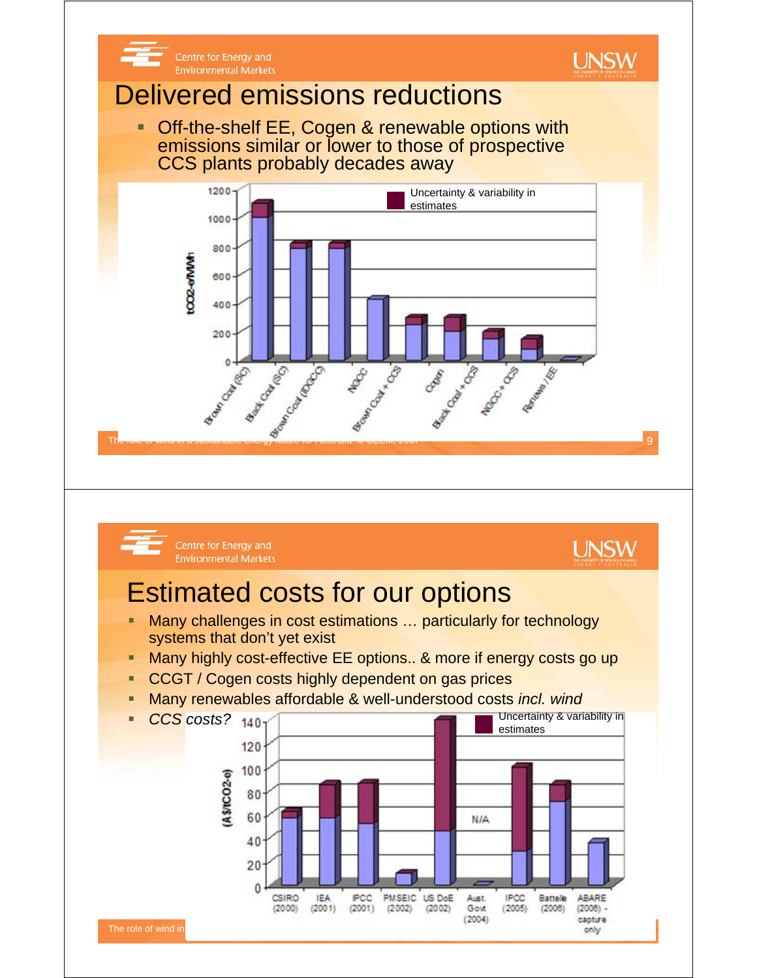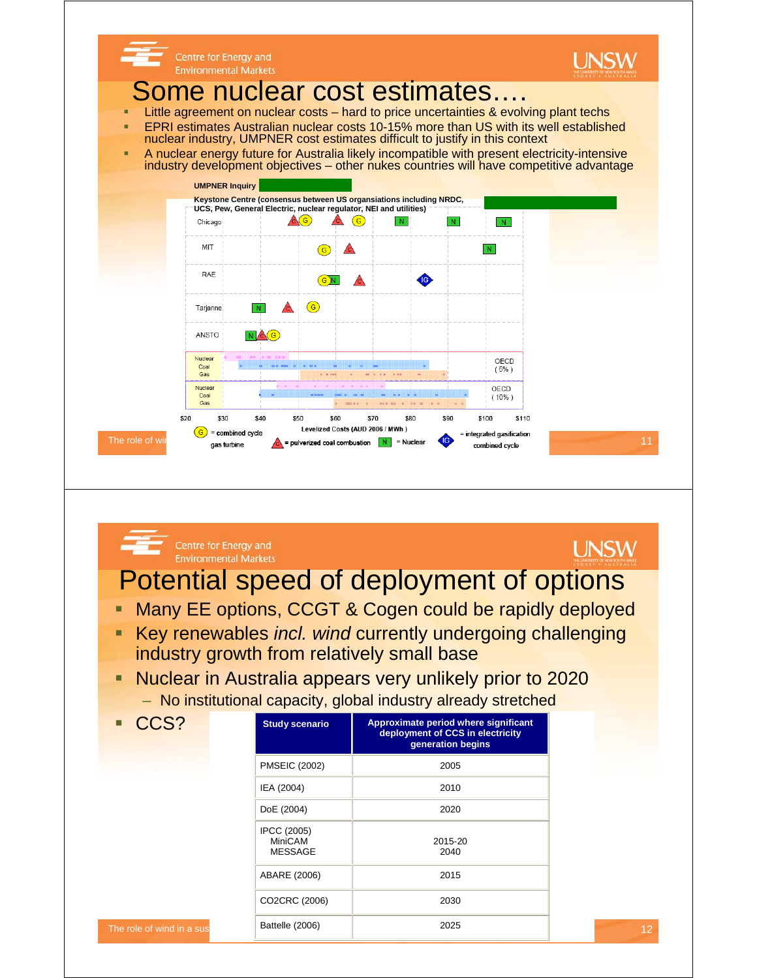

#### **Environmental Markets** Potential speed of deployment of options

Centre for Energy and

- **Many EE options, CCGT & Cogen could be rapidly deployed**
- Key renewables *incl. wind* currently undergoing challenging industry growth from relatively small base
- **Nuclear in Australia appears very unlikely prior to 2020** – No institutional capacity, global industry already stretched

| CCS?                      | <b>Study scenario</b>                           | Approximate period where significant<br>deployment of CCS in electricity<br>generation begins |
|---------------------------|-------------------------------------------------|-----------------------------------------------------------------------------------------------|
|                           | <b>PMSEIC (2002)</b>                            | 2005                                                                                          |
|                           | IEA (2004)                                      | 2010                                                                                          |
|                           | DoE (2004)                                      | 2020                                                                                          |
|                           | <b>IPCC (2005)</b><br>MiniCAM<br><b>MESSAGE</b> | 2015-20<br>2040                                                                               |
|                           | ABARE (2006)                                    | 2015                                                                                          |
|                           | CO2CRC (2006)                                   | 2030                                                                                          |
| The role of wind in a sus | Battelle (2006)                                 | 2025                                                                                          |

**UNSW**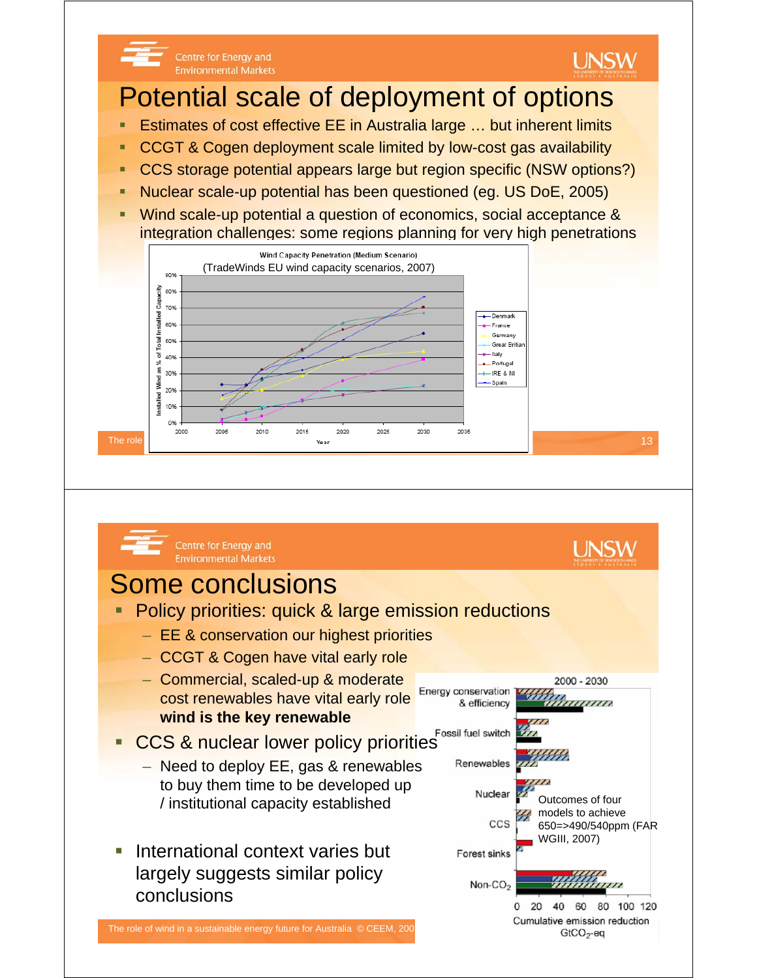

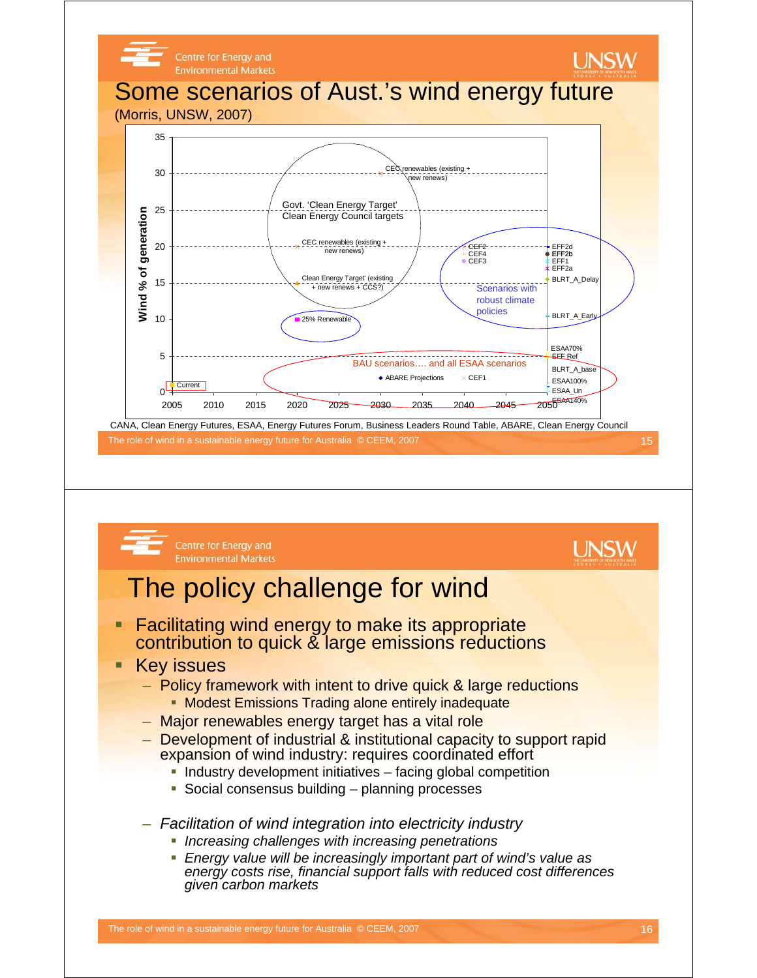



The role of wind in a sustainable energy future for Australia © CEEM, 2007 16 16 16 16 16 16 16 16 16 16 16 16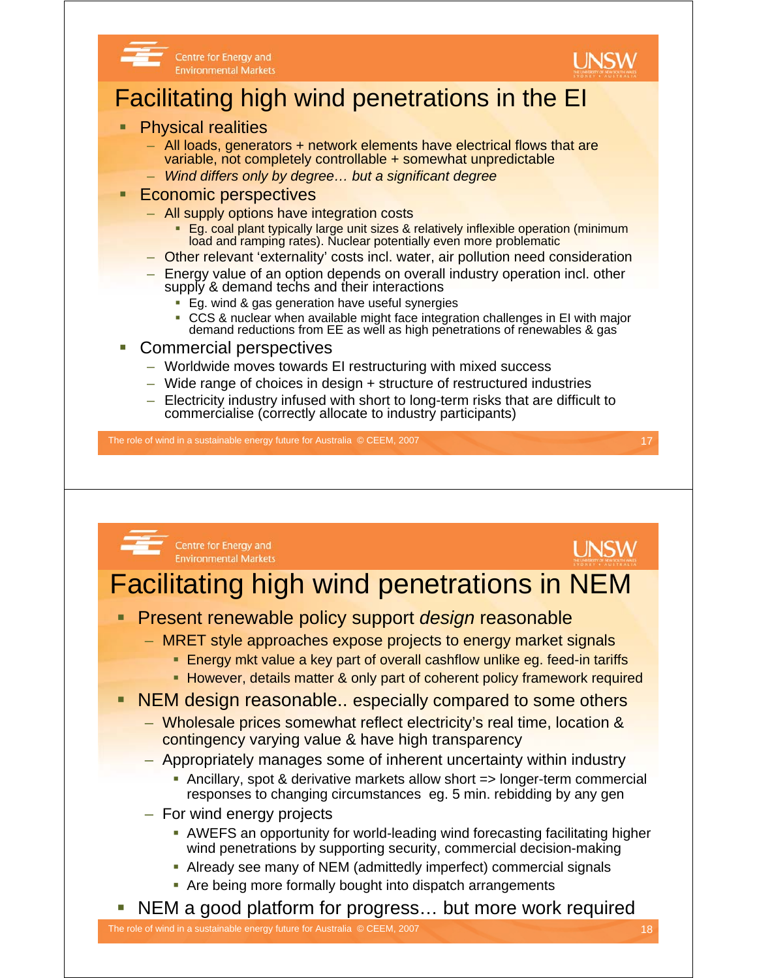

Centre for Energy and **Environmental Markets** 



### Facilitating high wind penetrations in the EI

- Physical realities
	- All loads, generators + network elements have electrical flows that are variable, not completely controllable + somewhat unpredictable
	- *Wind differs only by degree… but a significant degree*
- Economic perspectives
	- All supply options have integration costs
		- **Eg. coal plant typically large unit sizes & relatively inflexible operation (minimum** load and ramping rates). Nuclear potentially even more problematic
	- Other relevant 'externality' costs incl. water, air pollution need consideration
	- Energy value of an option depends on overall industry operation incl. other supply & demand techs and their interactions
		- **Eg. wind & gas generation have useful synergies**
		- CCS & nuclear when available might face integration challenges in EI with major demand reductions from EE as well as high penetrations of renewables & gas
- Commercial perspectives
	- Worldwide moves towards EI restructuring with mixed success
	- Wide range of choices in design + structure of restructured industries
	- Electricity industry infused with short to long-term risks that are difficult to commercialise (correctly allocate to industry participants)

The role of wind in a sustainable energy future for Australia © CEEM, 2007 17 17